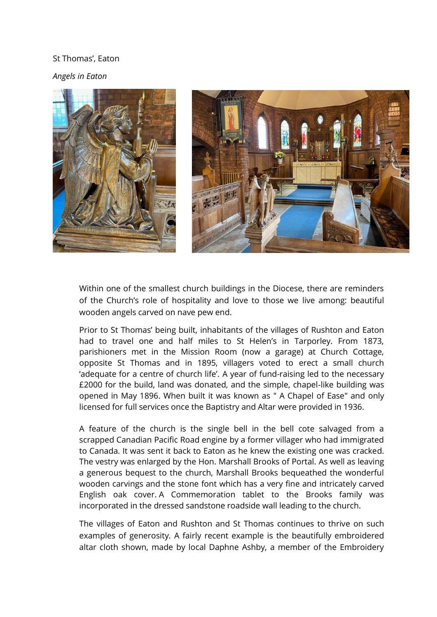## St Thomas', Eaton

*Angels in Eaton*



Within one of the smallest church buildings in the Diocese, there are reminders of the Church's role of hospitality and love to those we live among: beautiful wooden angels carved on nave pew end.

Prior to St Thomas' being built, inhabitants of the villages of Rushton and Eaton had to travel one and half miles to St Helen's in Tarporley. From 1873, parishioners met in the Mission Room (now a garage) at Church Cottage, opposite St Thomas and in 1895, villagers voted to erect a small church 'adequate for a centre of church life'. A year of fund-raising led to the necessary £2000 for the build, land was donated, and the simple, chapel-like building was opened in May 1896. When built it was known as " A Chapel of Ease" and only licensed for full services once the Baptistry and Altar were provided in 1936.

A feature of the church is the single bell in the bell cote salvaged from a scrapped Canadian Pacific Road engine by a former villager who had immigrated to Canada. It was sent it back to Eaton as he knew the existing one was cracked. The vestry was enlarged by the Hon. Marshall Brooks of Portal. As well as leaving a generous bequest to the church, Marshall Brooks bequeathed the wonderful wooden carvings and the stone font which has a very fine and intricately carved English oak cover. A Commemoration tablet to the Brooks family was incorporated in the dressed sandstone roadside wall leading to the church.

The villages of Eaton and Rushton and St Thomas continues to thrive on such examples of generosity. A fairly recent example is the beautifully embroidered altar cloth shown, made by local Daphne Ashby, a member of the Embroidery